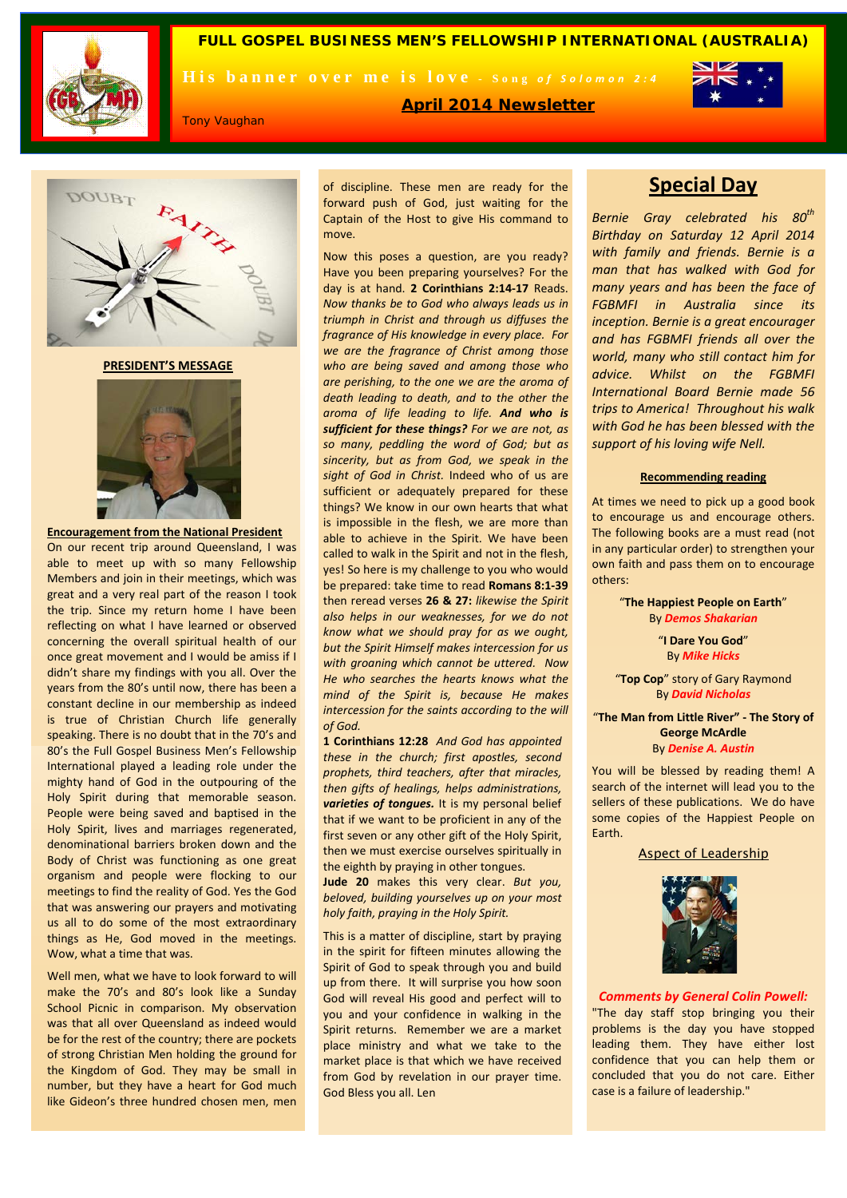

DOUBT

**FULL GOSPEL BUSINESS MEN'S FELLOWSHIP INTERNATIONAL (AUSTRALIA)**

His banner over me is love - Song of Solomon 2:4



Tony Vaughan

**April 2014 Newsletter**

move.

**PRESIDENT'S MESSAGE**



**Encouragement from the National President**  On our recent trip around Queensland, I was able to meet up with so many Fellowship Members and join in their meetings, which was great and a very real part of the reason I took the trip. Since my return home I have been reflecting on what I have learned or observed concerning the overall spiritual health of our once great movement and I would be amiss if I didn't share my findings with you all. Over the years from the 80's until now, there has been a constant decline in our membership as indeed is true of Christian Church life generally speaking. There is no doubt that in the 70's and 80's the Full Gospel Business Men's Fellowship International played a leading role under the mighty hand of God in the outpouring of the Holy Spirit during that memorable season. People were being saved and baptised in the Holy Spirit, lives and marriages regenerated, denominational barriers broken down and the Body of Christ was functioning as one great organism and people were flocking to our meetings to find the reality of God. Yes the God that was answering our prayers and motivating us all to do some of the most extraordinary things as He, God moved in the meetings. Wow, what a time that was.

Well men, what we have to look forward to will make the 70's and 80's look like a Sunday School Picnic in comparison. My observation was that all over Queensland as indeed would be for the rest of the country; there are pockets of strong Christian Men holding the ground for the Kingdom of God. They may be small in number, but they have a heart for God much like Gideon's three hundred chosen men, men

of discipline. These men are ready for the forward push of God, just waiting for the Captain of the Host to give His command to

Now this poses a question, are you ready? Have you been preparing yourselves? For the day is at hand. **2 Corinthians 2:14-17** Reads. *Now thanks be to God who always leads us in triumph in Christ and through us diffuses the fragrance of His knowledge in every place. For we are the fragrance of Christ among those who are being saved and among those who are perishing, to the one we are the aroma of death leading to death, and to the other the aroma of life leading to life. And who is sufficient for these things? For we are not, as so many, peddling the word of God; but as sincerity, but as from God, we speak in the sight of God in Christ.* Indeed who of us are sufficient or adequately prepared for these things? We know in our own hearts that what is impossible in the flesh, we are more than able to achieve in the Spirit. We have been called to walk in the Spirit and not in the flesh, yes! So here is my challenge to you who would be prepared: take time to read **Romans 8:1-39**  then reread verses **26 & 27:** *likewise the Spirit also helps in our weaknesses, for we do not know what we should pray for as we ought, but the Spirit Himself makes intercession for us with groaning which cannot be uttered. Now He who searches the hearts knows what the mind of the Spirit is, because He makes intercession for the saints according to the will of God.*

**1 Corinthians 12:28** *And God has appointed these in the church; first apostles, second prophets, third teachers, after that miracles, then gifts of healings, helps administrations, varieties of tongues.* It is my personal belief that if we want to be proficient in any of the first seven or any other gift of the Holy Spirit, then we must exercise ourselves spiritually in the eighth by praying in other tongues.

**Jude 20** makes this very clear. *But you, beloved, building yourselves up on your most holy faith, praying in the Holy Spirit.* 

This is a matter of discipline, start by praying in the spirit for fifteen minutes allowing the Spirit of God to speak through you and build up from there. It will surprise you how soon God will reveal His good and perfect will to you and your confidence in walking in the Spirit returns. Remember we are a market place ministry and what we take to the market place is that which we have received from God by revelation in our prayer time. God Bless you all. Len

# **Special Day**

*Bernie Gray celebrated his 80th Birthday on Saturday 12 April 2014 with family and friends. Bernie is a man that has walked with God for many years and has been the face of FGBMFI in Australia since its inception. Bernie is a great encourager and has FGBMFI friends all over the world, many who still contact him for advice. Whilst on the FGBMFI International Board Bernie made 56 trips to America! Throughout his walk with God he has been blessed with the support of his loving wife Nell.*

#### **Recommending reading**

At times we need to pick up a good book to encourage us and encourage others. The following books are a must read (not in any particular order) to strengthen your own faith and pass them on to encourage others:

> "**The Happiest People on Earth**" By *Demos Shakarian*

> > "**I Dare You God**" By *Mike Hicks*

"**Top Cop**" story of Gary Raymond By *David Nicholas*

"**The Man from Little River" - The Story of George McArdle** By *Denise A. Austin*

You will be blessed by reading them! A search of the internet will lead you to the sellers of these publications. We do have some copies of the Happiest People on Earth.

#### Aspect of Leadership



#### *Comments by General Colin Powell:*

"The day staff stop bringing you their problems is the day you have stopped leading them. They have either lost confidence that you can help them or concluded that you do not care. Either case is a failure of leadership."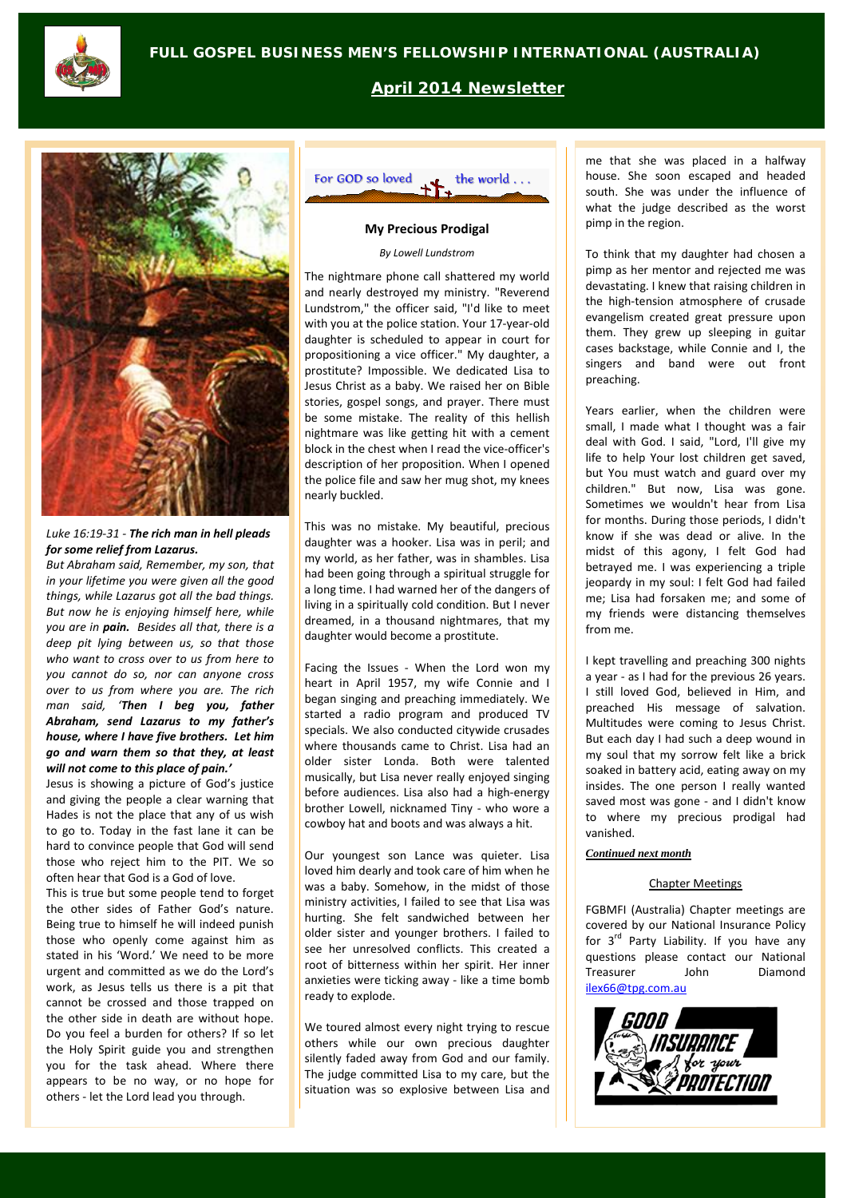

**April 2014 Newsletter**



#### *Luke 16:19-31 - The rich man in hell pleads for some relief from Lazarus.*

*But Abraham said, Remember, my son, that in your lifetime you were given all the good things, while Lazarus got all the bad things. But now he is enjoying himself here, while you are in pain. Besides all that, there is a deep pit lying between us, so that those who want to cross over to us from here to you cannot do so, nor can anyone cross over to us from where you are. The rich man said, 'Then I beg you, father Abraham, send Lazarus to my father's house, where I have five brothers. Let him go and warn them so that they, at least will not come to this place of pain.'*

Jesus is showing a picture of God's justice and giving the people a clear warning that Hades is not the place that any of us wish to go to. Today in the fast lane it can be hard to convince people that God will send those who reject him to the PIT. We so often hear that God is a God of love.

This is true but some people tend to forget the other sides of Father God's nature. Being true to himself he will indeed punish those who openly come against him as stated in his 'Word.' We need to be more urgent and committed as we do the Lord's work, as Jesus tells us there is a pit that cannot be crossed and those trapped on the other side in death are without hope. Do you feel a burden for others? If so let the Holy Spirit guide you and strengthen you for the task ahead. Where there appears to be no way, or no hope for others - let the Lord lead you through.



#### **My Precious Prodigal**

#### *By Lowell Lundstrom*

The nightmare phone call shattered my world and nearly destroyed my ministry. "Reverend Lundstrom," the officer said, "I'd like to meet with you at the police station. Your 17-year-old daughter is scheduled to appear in court for propositioning a vice officer." My daughter, a prostitute? Impossible. We dedicated Lisa to Jesus Christ as a baby. We raised her on Bible stories, gospel songs, and prayer. There must be some mistake. The reality of this hellish nightmare was like getting hit with a cement block in the chest when I read the vice-officer's description of her proposition. When I opened the police file and saw her mug shot, my knees nearly buckled.

This was no mistake. My beautiful, precious daughter was a hooker. Lisa was in peril; and my world, as her father, was in shambles. Lisa had been going through a spiritual struggle for a long time. I had warned her of the dangers of living in a spiritually cold condition. But I never dreamed, in a thousand nightmares, that my daughter would become a prostitute.

Facing the Issues - When the Lord won my heart in April 1957, my wife Connie and I began singing and preaching immediately. We started a radio program and produced TV specials. We also conducted citywide crusades where thousands came to Christ. Lisa had an older sister Londa. Both were talented musically, but Lisa never really enjoyed singing before audiences. Lisa also had a high-energy brother Lowell, nicknamed Tiny - who wore a cowboy hat and boots and was always a hit.

Our youngest son Lance was quieter. Lisa loved him dearly and took care of him when he was a baby. Somehow, in the midst of those ministry activities, I failed to see that Lisa was hurting. She felt sandwiched between her older sister and younger brothers. I failed to see her unresolved conflicts. This created a root of bitterness within her spirit. Her inner anxieties were ticking away - like a time bomb ready to explode.

We toured almost every night trying to rescue others while our own precious daughter silently faded away from God and our family. The judge committed Lisa to my care, but the situation was so explosive between Lisa and me that she was placed in a halfway house. She soon escaped and headed south. She was under the influence of what the judge described as the worst pimp in the region.

To think that my daughter had chosen a pimp as her mentor and rejected me was devastating. I knew that raising children in the high-tension atmosphere of crusade evangelism created great pressure upon them. They grew up sleeping in guitar cases backstage, while Connie and I, the singers and band were out front preaching.

Years earlier, when the children were small, I made what I thought was a fair deal with God. I said, "Lord, I'll give my life to help Your lost children get saved, but You must watch and guard over my children." But now, Lisa was gone. Sometimes we wouldn't hear from Lisa for months. During those periods, I didn't know if she was dead or alive. In the midst of this agony, I felt God had betrayed me. I was experiencing a triple jeopardy in my soul: I felt God had failed me; Lisa had forsaken me; and some of my friends were distancing themselves from me.

I kept travelling and preaching 300 nights a year - as I had for the previous 26 years. I still loved God, believed in Him, and preached His message of salvation. Multitudes were coming to Jesus Christ. But each day I had such a deep wound in my soul that my sorrow felt like a brick soaked in battery acid, eating away on my insides. The one person I really wanted saved most was gone - and I didn't know to where my precious prodigal had vanished.

#### *Continued next month*

### Chapter Meetings

FGBMFI (Australia) Chapter meetings are covered by our National Insurance Policy for 3<sup>rd</sup> Party Liability. If you have any questions please contact our National Treasurer John Diamond [ilex66@tpg.com.au](mailto:ilex66@tpg.com.au)

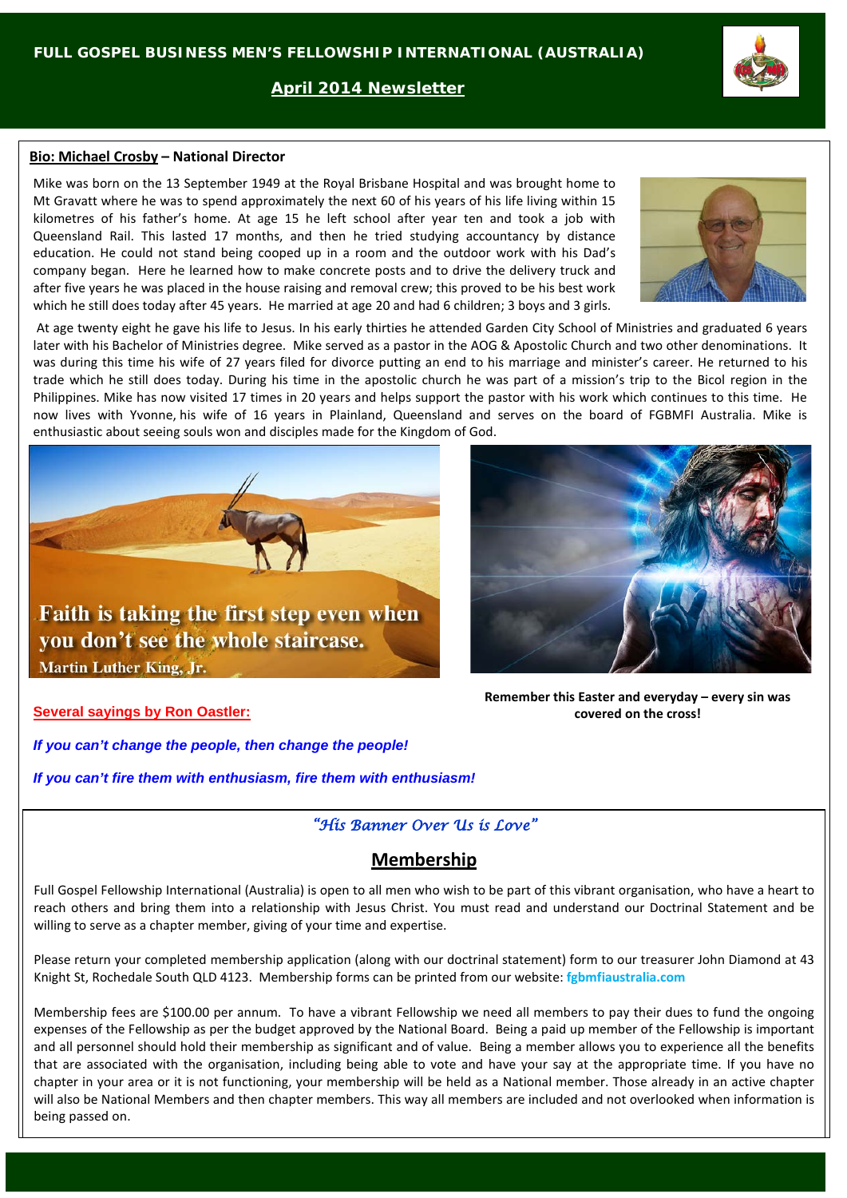**April 2014 Newsletter**

### **Bio: Michael Crosby – National Director**

Mike was born on the 13 September 1949 at the Royal Brisbane Hospital and was brought home to Mt Gravatt where he was to spend approximately the next 60 of his years of his life living within 15 kilometres of his father's home. At age 15 he left school after year ten and took a job with Queensland Rail. This lasted 17 months, and then he tried studying accountancy by distance education. He could not stand being cooped up in a room and the outdoor work with his Dad's company began. Here he learned how to make concrete posts and to drive the delivery truck and after five years he was placed in the house raising and removal crew; this proved to be his best work which he still does today after 45 years. He married at age 20 and had 6 children; 3 boys and 3 girls.

At age twenty eight he gave his life to Jesus. In his early thirties he attended Garden City School of Ministries and graduated 6 years later with his Bachelor of Ministries degree. Mike served as a pastor in the AOG & Apostolic Church and two other denominations. It was during this time his wife of 27 years filed for divorce putting an end to his marriage and minister's career. He returned to his trade which he still does today. During his time in the apostolic church he was part of a mission's trip to the Bicol region in the Philippines. Mike has now visited 17 times in 20 years and helps support the pastor with his work which continues to this time. He now lives with Yvonne, his wife of 16 years in Plainland, Queensland and serves on the board of FGBMFI Australia. Mike is enthusiastic about seeing souls won and disciples made for the Kingdom of God.

*If you can't change the people, then change the people!* 

*If you can't fire them with enthusiasm, fire them with enthusiasm!*

## *"His Banner Over Us is Love"*

# **Membership**

Full Gospel Fellowship International (Australia) is open to all men who wish to be part of this vibrant organisation, who have a heart to reach others and bring them into a relationship with Jesus Christ. You must read and understand our Doctrinal Statement and be willing to serve as a chapter member, giving of your time and expertise.

Please return your completed membership application (along with our doctrinal statement) form to our treasurer John Diamond at 43 Knight St, Rochedale South QLD 4123. Membership forms can be printed from our website: **fgbmfiaustralia.com**

Membership fees are \$100.00 per annum. To have a vibrant Fellowship we need all members to pay their dues to fund the ongoing expenses of the Fellowship as per the budget approved by the National Board. Being a paid up member of the Fellowship is important and all personnel should hold their membership as significant and of value. Being a member allows you to experience all the benefits that are associated with the organisation, including being able to vote and have your say at the appropriate time. If you have no chapter in your area or it is not functioning, your membership will be held as a National member. Those already in an active chapter will also be National Members and then chapter members. This way all members are included and not overlooked when information is being passed on.



**Remember this Easter and everyday – every sin was covered on the cross!**





**Martin Luther King, Jr.** 

Faith is taking the first step even when

# **Several sayings by Ron Oastler:**

you don't see the whole staircase.